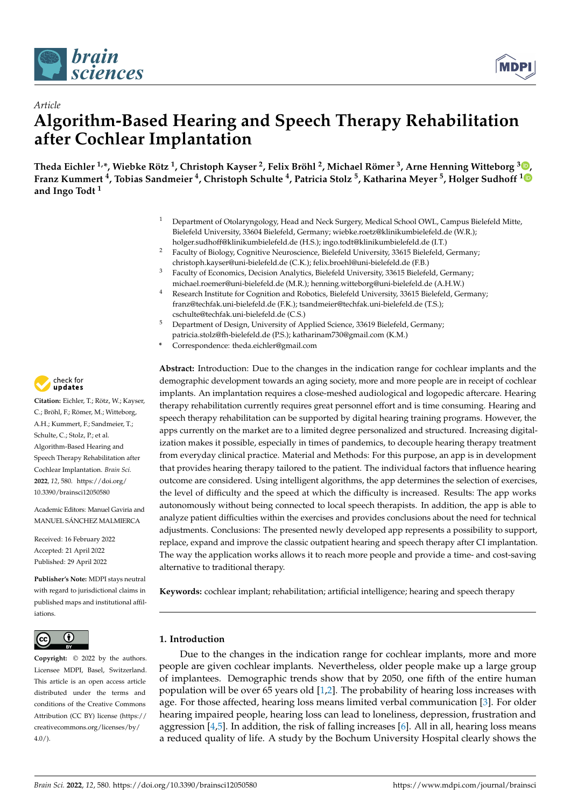



# *Article* **Algorithm-Based Hearing and Speech Therapy Rehabilitation after Cochlear Implantation**

**Theda Eichler 1,\*, Wiebke Rötz <sup>1</sup> , Christoph Kayser <sup>2</sup> , Felix Bröhl <sup>2</sup> , Michael Römer <sup>3</sup> , Arne Henning Witteborg [3](https://orcid.org/0000-0001-9269-4617) , Franz Kummert <sup>4</sup> , Tobias Sandmeier <sup>4</sup> , Christoph Schulte <sup>4</sup> , Patricia Stolz <sup>5</sup> , Katharina Meyer <sup>5</sup> , Holger Sudhoff [1](https://orcid.org/0000-0002-9274-5645) and Ingo Todt <sup>1</sup>**

- <sup>1</sup> Department of Otolaryngology, Head and Neck Surgery, Medical School OWL, Campus Bielefeld Mitte, Bielefeld University, 33604 Bielefeld, Germany; wiebke.roetz@klinikumbielefeld.de (W.R.); holger.sudhoff@klinikumbielefeld.de (H.S.); ingo.todt@klinikumbielefeld.de (I.T.)
- <sup>2</sup> Faculty of Biology, Cognitive Neuroscience, Bielefeld University, 33615 Bielefeld, Germany; christoph.kayser@uni-bielefeld.de (C.K.); felix.broehl@uni-bielefeld.de (F.B.)
- <sup>3</sup> Faculty of Economics, Decision Analytics, Bielefeld University, 33615 Bielefeld, Germany; michael.roemer@uni-bielefeld.de (M.R.); henning.witteborg@uni-bielefeld.de (A.H.W.)
- <sup>4</sup> Research Institute for Cognition and Robotics, Bielefeld University, 33615 Bielefeld, Germany; franz@techfak.uni-bielefeld.de (F.K.); tsandmeier@techfak.uni-bielefeld.de (T.S.); cschulte@techfak.uni-bielefeld.de (C.S.)
- <sup>5</sup> Department of Design, University of Applied Science, 33619 Bielefeld, Germany; patricia.stolz@fh-bielefeld.de (P.S.); katharinam730@gmail.com (K.M.)
- **\*** Correspondence: theda.eichler@gmail.com

**Abstract:** Introduction: Due to the changes in the indication range for cochlear implants and the demographic development towards an aging society, more and more people are in receipt of cochlear implants. An implantation requires a close-meshed audiological and logopedic aftercare. Hearing therapy rehabilitation currently requires great personnel effort and is time consuming. Hearing and speech therapy rehabilitation can be supported by digital hearing training programs. However, the apps currently on the market are to a limited degree personalized and structured. Increasing digitalization makes it possible, especially in times of pandemics, to decouple hearing therapy treatment from everyday clinical practice. Material and Methods: For this purpose, an app is in development that provides hearing therapy tailored to the patient. The individual factors that influence hearing outcome are considered. Using intelligent algorithms, the app determines the selection of exercises, the level of difficulty and the speed at which the difficulty is increased. Results: The app works autonomously without being connected to local speech therapists. In addition, the app is able to analyze patient difficulties within the exercises and provides conclusions about the need for technical adjustments. Conclusions: The presented newly developed app represents a possibility to support, replace, expand and improve the classic outpatient hearing and speech therapy after CI implantation. The way the application works allows it to reach more people and provide a time- and cost-saving alternative to traditional therapy.

**Keywords:** cochlear implant; rehabilitation; artificial intelligence; hearing and speech therapy

#### $\left( i\right)$  $|$  (cc)

**Copyright:** © 2022 by the authors. Licensee MDPI, Basel, Switzerland. This article is an open access article distributed under the terms and conditions of the Creative Commons Attribution (CC BY) license [\(https://](https://creativecommons.org/licenses/by/4.0/) [creativecommons.org/licenses/by/](https://creativecommons.org/licenses/by/4.0/)  $4.0/$ ).

## **1. Introduction**

Due to the changes in the indication range for cochlear implants, more and more people are given cochlear implants. Nevertheless, older people make up a large group of implantees. Demographic trends show that by 2050, one fifth of the entire human population will be over 65 years old [\[1](#page-8-0)[,2\]](#page-8-1). The probability of hearing loss increases with age. For those affected, hearing loss means limited verbal communication [\[3\]](#page-8-2). For older hearing impaired people, hearing loss can lead to loneliness, depression, frustration and aggression  $[4,5]$  $[4,5]$ . In addition, the risk of falling increases  $[6]$ . All in all, hearing loss means a reduced quality of life. A study by the Bochum University Hospital clearly shows the



**Citation:** Eichler, T.; Rötz, W.; Kayser, C.; Bröhl, F.; Römer, M.; Witteborg, A.H.; Kummert, F.; Sandmeier, T.; Schulte, C.; Stolz, P.; et al. Algorithm-Based Hearing and Speech Therapy Rehabilitation after Cochlear Implantation. *Brain Sci.* **2022**, *12*, 580. [https://doi.org/](https://doi.org/10.3390/brainsci12050580) [10.3390/brainsci12050580](https://doi.org/10.3390/brainsci12050580)

Academic Editors: Manuel Gaviria and MANUEL SÁNCHEZ MALMIERCA

Received: 16 February 2022 Accepted: 21 April 2022 Published: 29 April 2022

**Publisher's Note:** MDPI stays neutral with regard to jurisdictional claims in published maps and institutional affiliations.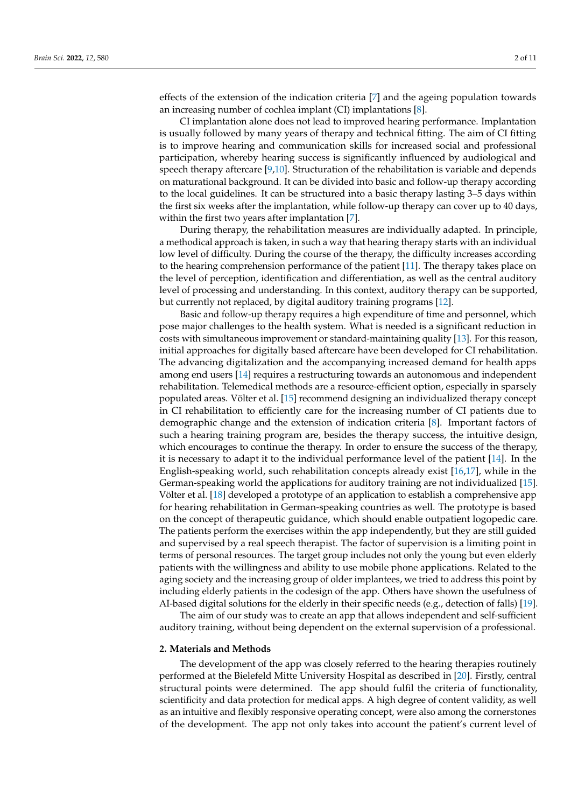effects of the extension of the indication criteria [\[7\]](#page-8-6) and the ageing population towards an increasing number of cochlea implant (CI) implantations [\[8\]](#page-8-7).

CI implantation alone does not lead to improved hearing performance. Implantation is usually followed by many years of therapy and technical fitting. The aim of CI fitting is to improve hearing and communication skills for increased social and professional participation, whereby hearing success is significantly influenced by audiological and speech therapy aftercare [\[9,](#page-8-8)[10\]](#page-8-9). Structuration of the rehabilitation is variable and depends on maturational background. It can be divided into basic and follow-up therapy according to the local guidelines. It can be structured into a basic therapy lasting 3–5 days within the first six weeks after the implantation, while follow-up therapy can cover up to 40 days, within the first two years after implantation [\[7\]](#page-8-6).

During therapy, the rehabilitation measures are individually adapted. In principle, a methodical approach is taken, in such a way that hearing therapy starts with an individual low level of difficulty. During the course of the therapy, the difficulty increases according to the hearing comprehension performance of the patient [\[11\]](#page-8-10). The therapy takes place on the level of perception, identification and differentiation, as well as the central auditory level of processing and understanding. In this context, auditory therapy can be supported, but currently not replaced, by digital auditory training programs [\[12\]](#page-8-11).

Basic and follow-up therapy requires a high expenditure of time and personnel, which pose major challenges to the health system. What is needed is a significant reduction in costs with simultaneous improvement or standard-maintaining quality [\[13\]](#page-8-12). For this reason, initial approaches for digitally based aftercare have been developed for CI rehabilitation. The advancing digitalization and the accompanying increased demand for health apps among end users [\[14\]](#page-9-0) requires a restructuring towards an autonomous and independent rehabilitation. Telemedical methods are a resource-efficient option, especially in sparsely populated areas. Völter et al. [\[15\]](#page-9-1) recommend designing an individualized therapy concept in CI rehabilitation to efficiently care for the increasing number of CI patients due to demographic change and the extension of indication criteria [\[8\]](#page-8-7). Important factors of such a hearing training program are, besides the therapy success, the intuitive design, which encourages to continue the therapy. In order to ensure the success of the therapy, it is necessary to adapt it to the individual performance level of the patient [\[14\]](#page-9-0). In the English-speaking world, such rehabilitation concepts already exist [\[16](#page-9-2)[,17\]](#page-9-3), while in the German-speaking world the applications for auditory training are not individualized [\[15\]](#page-9-1). Völter et al. [\[18\]](#page-9-4) developed a prototype of an application to establish a comprehensive app for hearing rehabilitation in German-speaking countries as well. The prototype is based on the concept of therapeutic guidance, which should enable outpatient logopedic care. The patients perform the exercises within the app independently, but they are still guided and supervised by a real speech therapist. The factor of supervision is a limiting point in terms of personal resources. The target group includes not only the young but even elderly patients with the willingness and ability to use mobile phone applications. Related to the aging society and the increasing group of older implantees, we tried to address this point by including elderly patients in the codesign of the app. Others have shown the usefulness of AI-based digital solutions for the elderly in their specific needs (e.g., detection of falls) [\[19\]](#page-9-5).

The aim of our study was to create an app that allows independent and self-sufficient auditory training, without being dependent on the external supervision of a professional.

#### **2. Materials and Methods**

The development of the app was closely referred to the hearing therapies routinely performed at the Bielefeld Mitte University Hospital as described in [\[20\]](#page-9-6). Firstly, central structural points were determined. The app should fulfil the criteria of functionality, scientificity and data protection for medical apps. A high degree of content validity, as well as an intuitive and flexibly responsive operating concept, were also among the cornerstones of the development. The app not only takes into account the patient's current level of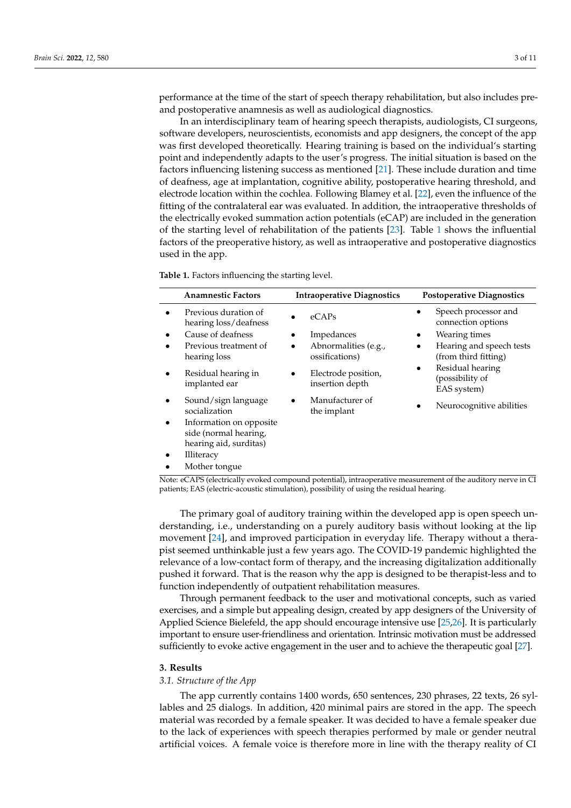performance at the time of the start of speech therapy rehabilitation, but also includes preand postoperative anamnesis as well as audiological diagnostics.

In an interdisciplinary team of hearing speech therapists, audiologists, CI surgeons, software developers, neuroscientists, economists and app designers, the concept of the app was first developed theoretically. Hearing training is based on the individual's starting point and independently adapts to the user's progress. The initial situation is based on the factors influencing listening success as mentioned [\[21\]](#page-9-7). These include duration and time of deafness, age at implantation, cognitive ability, postoperative hearing threshold, and electrode location within the cochlea. Following Blamey et al. [\[22\]](#page-9-8), even the influence of the fitting of the contralateral ear was evaluated. In addition, the intraoperative thresholds of the electrically evoked summation action potentials (eCAP) are included in the generation of the starting level of rehabilitation of the patients [\[23\]](#page-9-9). Table [1](#page-2-0) shows the influential factors of the preoperative history, as well as intraoperative and postoperative diagnostics used in the app.

<span id="page-2-0"></span>**Table 1.** Factors influencing the starting level.

| <b>Anamnestic Factors</b>                                                  | <b>Intraoperative Diagnostics</b>      | <b>Postoperative Diagnostics</b>                                |
|----------------------------------------------------------------------------|----------------------------------------|-----------------------------------------------------------------|
| Previous duration of<br>hearing loss/deafness                              | $e$ CAPs                               | Speech processor and<br>$\bullet$<br>connection options         |
| Cause of deafness                                                          | Impedances                             | Wearing times<br>$\bullet$                                      |
| Previous treatment of<br>hearing loss                                      | Abnormalities (e.g.,<br>ossifications) | Hearing and speech tests<br>$\bullet$<br>(from third fitting)   |
| Residual hearing in<br>implanted ear                                       | Electrode position,<br>insertion depth | Residual hearing<br>$\bullet$<br>(possibility of<br>EAS system) |
| Sound/sign language<br>socialization                                       | Manufacturer of<br>the implant         | Neurocognitive abilities                                        |
| Information on opposite<br>side (normal hearing,<br>hearing aid, surditas) |                                        |                                                                 |
| <b>Illiteracy</b>                                                          |                                        |                                                                 |
| Mother tongue                                                              |                                        |                                                                 |

Note: eCAPS (electrically evoked compound potential), intraoperative measurement of the auditory nerve in CI patients; EAS (electric-acoustic stimulation), possibility of using the residual hearing.

The primary goal of auditory training within the developed app is open speech understanding, i.e., understanding on a purely auditory basis without looking at the lip movement [\[24\]](#page-9-10), and improved participation in everyday life. Therapy without a therapist seemed unthinkable just a few years ago. The COVID-19 pandemic highlighted the relevance of a low-contact form of therapy, and the increasing digitalization additionally pushed it forward. That is the reason why the app is designed to be therapist-less and to function independently of outpatient rehabilitation measures.

Through permanent feedback to the user and motivational concepts, such as varied exercises, and a simple but appealing design, created by app designers of the University of Applied Science Bielefeld, the app should encourage intensive use [\[25,](#page-9-11)[26\]](#page-9-12). It is particularly important to ensure user-friendliness and orientation. Intrinsic motivation must be addressed sufficiently to evoke active engagement in the user and to achieve the therapeutic goal [\[27\]](#page-9-13).

### **3. Results**

#### *3.1. Structure of the App*

The app currently contains 1400 words, 650 sentences, 230 phrases, 22 texts, 26 syllables and 25 dialogs. In addition, 420 minimal pairs are stored in the app. The speech material was recorded by a female speaker. It was decided to have a female speaker due to the lack of experiences with speech therapies performed by male or gender neutral artificial voices. A female voice is therefore more in line with the therapy reality of CI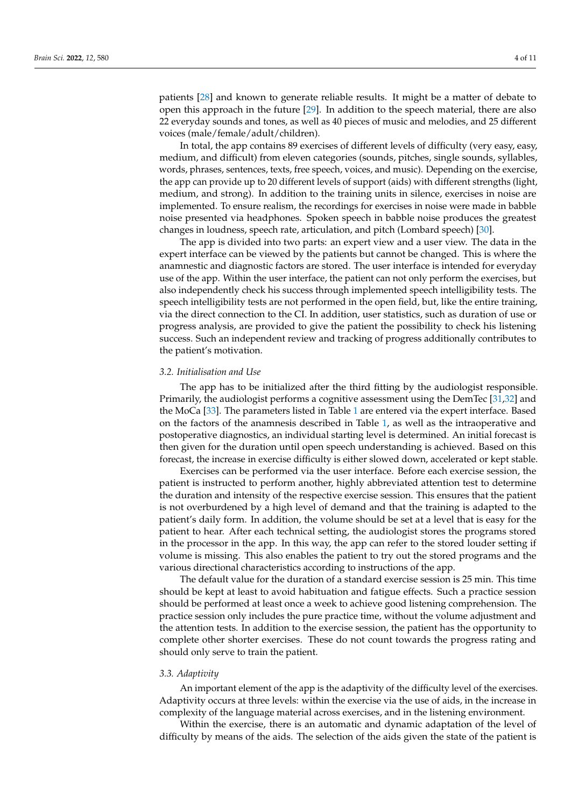patients [\[28\]](#page-9-14) and known to generate reliable results. It might be a matter of debate to open this approach in the future [\[29\]](#page-9-15). In addition to the speech material, there are also 22 everyday sounds and tones, as well as 40 pieces of music and melodies, and 25 different voices (male/female/adult/children).

In total, the app contains 89 exercises of different levels of difficulty (very easy, easy, medium, and difficult) from eleven categories (sounds, pitches, single sounds, syllables, words, phrases, sentences, texts, free speech, voices, and music). Depending on the exercise, the app can provide up to 20 different levels of support (aids) with different strengths (light, medium, and strong). In addition to the training units in silence, exercises in noise are implemented. To ensure realism, the recordings for exercises in noise were made in babble noise presented via headphones. Spoken speech in babble noise produces the greatest changes in loudness, speech rate, articulation, and pitch (Lombard speech) [\[30\]](#page-9-16).

The app is divided into two parts: an expert view and a user view. The data in the expert interface can be viewed by the patients but cannot be changed. This is where the anamnestic and diagnostic factors are stored. The user interface is intended for everyday use of the app. Within the user interface, the patient can not only perform the exercises, but also independently check his success through implemented speech intelligibility tests. The speech intelligibility tests are not performed in the open field, but, like the entire training, via the direct connection to the CI. In addition, user statistics, such as duration of use or progress analysis, are provided to give the patient the possibility to check his listening success. Such an independent review and tracking of progress additionally contributes to the patient's motivation.

#### *3.2. Initialisation and Use*

The app has to be initialized after the third fitting by the audiologist responsible. Primarily, the audiologist performs a cognitive assessment using the DemTec [\[31](#page-9-17)[,32\]](#page-9-18) and the MoCa [\[33\]](#page-9-19). The parameters listed in Table [1](#page-2-0) are entered via the expert interface. Based on the factors of the anamnesis described in Table [1,](#page-2-0) as well as the intraoperative and postoperative diagnostics, an individual starting level is determined. An initial forecast is then given for the duration until open speech understanding is achieved. Based on this forecast, the increase in exercise difficulty is either slowed down, accelerated or kept stable.

Exercises can be performed via the user interface. Before each exercise session, the patient is instructed to perform another, highly abbreviated attention test to determine the duration and intensity of the respective exercise session. This ensures that the patient is not overburdened by a high level of demand and that the training is adapted to the patient's daily form. In addition, the volume should be set at a level that is easy for the patient to hear. After each technical setting, the audiologist stores the programs stored in the processor in the app. In this way, the app can refer to the stored louder setting if volume is missing. This also enables the patient to try out the stored programs and the various directional characteristics according to instructions of the app.

The default value for the duration of a standard exercise session is 25 min. This time should be kept at least to avoid habituation and fatigue effects. Such a practice session should be performed at least once a week to achieve good listening comprehension. The practice session only includes the pure practice time, without the volume adjustment and the attention tests. In addition to the exercise session, the patient has the opportunity to complete other shorter exercises. These do not count towards the progress rating and should only serve to train the patient.

#### *3.3. Adaptivity*

An important element of the app is the adaptivity of the difficulty level of the exercises. Adaptivity occurs at three levels: within the exercise via the use of aids, in the increase in complexity of the language material across exercises, and in the listening environment.

Within the exercise, there is an automatic and dynamic adaptation of the level of difficulty by means of the aids. The selection of the aids given the state of the patient is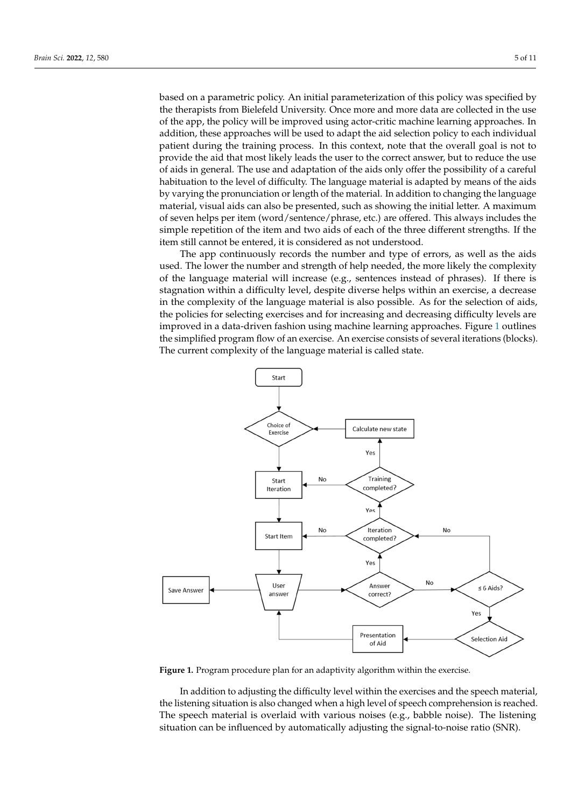based on a parametric policy. An initial parameterization of this policy was specified by the therapists from Bielefeld University. Once more and more data are collected in the use of the app, the policy will be improved using actor-critic machine learning approaches. In addition, these approaches will be used to adapt the aid selection policy to each individual patient during the training process. In this context, note that the overall goal is not to provide the aid that most likely leads the user to the correct answer, but to reduce the use of aids in general. The use and adaptation of the aids only offer the possibility of a careful habituation to the level of difficulty. The language material is adapted by means of the aids by varying the pronunciation or length of the material. In addition to changing the language material, visual aids can also be presented, such as showing the initial letter. A maximum of seven helps per item (word/sentence/phrase, etc.) are offered. This always includes the simple repetition of the item and two aids of each of the three different strengths. If the item still cannot be entered, it is considered as not understood.

The app continuously records the number and type of errors, as well as the aids used. The lower the number and strength of help needed, the more likely the complexity of the language material will increase (e.g., sentences instead of phrases). If there is stagnation within a difficulty level, despite diverse helps within an exercise, a decrease in the complexity of the language material is also possible. As for the selection of aids, the policies for selecting exercises and for increasing and decreasing difficulty levels are improved in a data-driven fashion using machine learning approaches. Figure [1](#page-4-0) outlines the simplified program flow of an exercise. An exercise consists of several iterations (blocks). The current complexity of the language material is called state.

<span id="page-4-0"></span>

**Figure 1.** Program procedure plan for an adaptivity algorithm within the exercise. **Figure 1.** Program procedure plan for an adaptivity algorithm within the exercise.

*3.4. Problem Analysis*  the listening situation is also changed when a high level of speech comprehension is reached. The speech material is overlaid with various noises (e.g., babble noise). The listening situation can be influenced by automatically adjusting the signal-to-noise ratio (SNR). In addition to adjusting the difficulty level within the exercises and the speech material,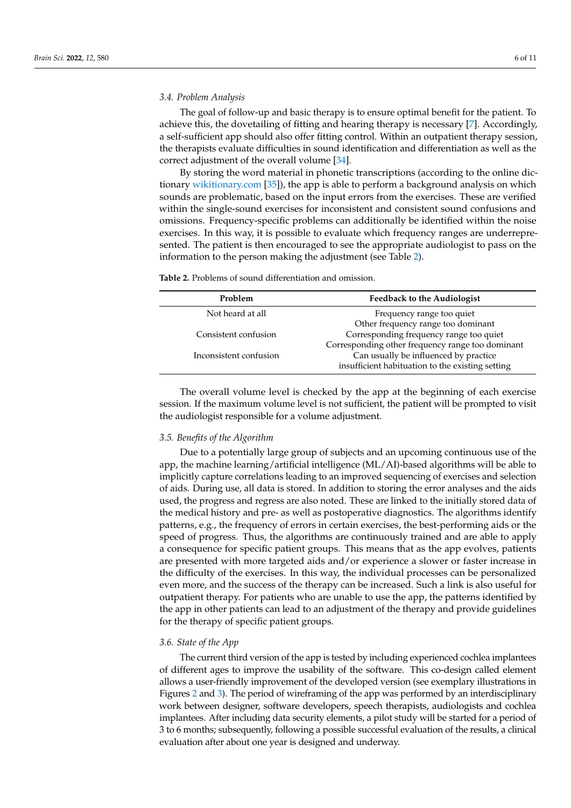## *3.4. Problem Analysis*

The goal of follow-up and basic therapy is to ensure optimal benefit for the patient. To achieve this, the dovetailing of fitting and hearing therapy is necessary [\[7\]](#page-8-6). Accordingly, a self-sufficient app should also offer fitting control. Within an outpatient therapy session, the therapists evaluate difficulties in sound identification and differentiation as well as the correct adjustment of the overall volume [\[34\]](#page-9-20).

By storing the word material in phonetic transcriptions (according to the online dictionary <wikitionary.com> [\[35\]](#page-9-21)), the app is able to perform a background analysis on which sounds are problematic, based on the input errors from the exercises. These are verified within the single-sound exercises for inconsistent and consistent sound confusions and omissions. Frequency-specific problems can additionally be identified within the noise exercises. In this way, it is possible to evaluate which frequency ranges are underrepresented. The patient is then encouraged to see the appropriate audiologist to pass on the information to the person making the adjustment (see Table [2\)](#page-5-0).

<span id="page-5-0"></span>**Table 2.** Problems of sound differentiation and omission.

| Problem                | <b>Feedback to the Audiologist</b>               |  |
|------------------------|--------------------------------------------------|--|
| Not heard at all       | Frequency range too quiet                        |  |
|                        | Other frequency range too dominant               |  |
| Consistent confusion   | Corresponding frequency range too quiet          |  |
|                        | Corresponding other frequency range too dominant |  |
| Inconsistent confusion | Can usually be influenced by practice            |  |
|                        | insufficient habituation to the existing setting |  |

The overall volume level is checked by the app at the beginning of each exercise session. If the maximum volume level is not sufficient, the patient will be prompted to visit the audiologist responsible for a volume adjustment.

#### *3.5. Benefits of the Algorithm*

Due to a potentially large group of subjects and an upcoming continuous use of the app, the machine learning/artificial intelligence (ML/AI)-based algorithms will be able to implicitly capture correlations leading to an improved sequencing of exercises and selection of aids. During use, all data is stored. In addition to storing the error analyses and the aids used, the progress and regress are also noted. These are linked to the initially stored data of the medical history and pre- as well as postoperative diagnostics. The algorithms identify patterns, e.g., the frequency of errors in certain exercises, the best-performing aids or the speed of progress. Thus, the algorithms are continuously trained and are able to apply a consequence for specific patient groups. This means that as the app evolves, patients are presented with more targeted aids and/or experience a slower or faster increase in the difficulty of the exercises. In this way, the individual processes can be personalized even more, and the success of the therapy can be increased. Such a link is also useful for outpatient therapy. For patients who are unable to use the app, the patterns identified by the app in other patients can lead to an adjustment of the therapy and provide guidelines for the therapy of specific patient groups.

## *3.6. State of the App*

The current third version of the app is tested by including experienced cochlea implantees of different ages to improve the usability of the software. This co-design called element allows a user-friendly improvement of the developed version (see exemplary illustrations in Figures [2](#page-6-0) and [3\)](#page-6-1). The period of wireframing of the app was performed by an interdisciplinary work between designer, software developers, speech therapists, audiologists and cochlea implantees. After including data security elements, a pilot study will be started for a period of 3 to 6 months; subsequently, following a possible successful evaluation of the results, a clinical evaluation after about one year is designed and underway.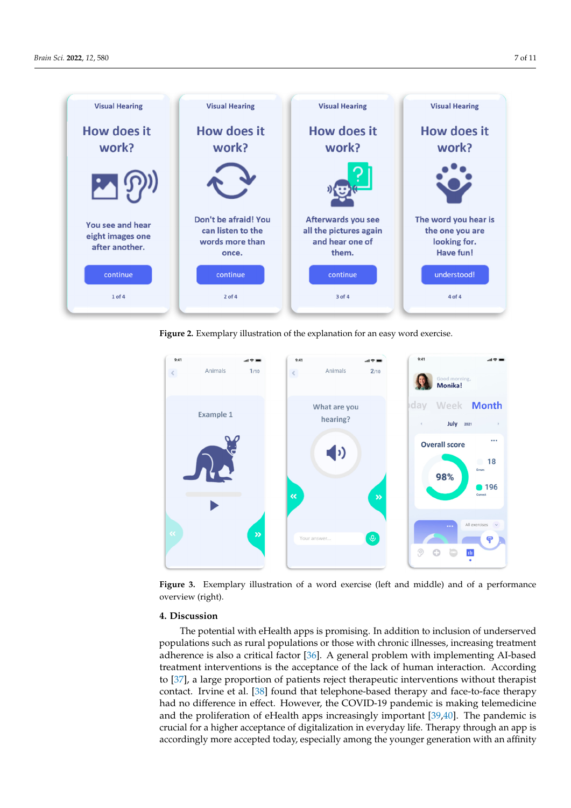<span id="page-6-0"></span>waxaa ku sida lagu sida lagu sida lagu sida lagu sida lagu sida lagu sida lagu sida lagu sida lagu sida lagu s<br>Waxaa lagu sida lagu sida lagu sida lagu sida lagu sida lagu sida lagu sida lagu sida lagu sida lagu sida lagu



Figure 2. Exemplary illustration of the explanation for an easy word exercise.

<span id="page-6-1"></span>

**Figure 3.** Exemplary illustration of a word exercise (left and middle) and of a performance (right). overview (right).

#### **4. Discussion 4. Discussion**

populations such as rural populations or those with chronic illnesses, increasing treatment adherence is also a critical factor [36]. A general problem with implementing AI-based treatment interventions is the acceptance of the lack of human interaction. According to [\[37\]](#page-9-23), a large proportion of patients reject therapeutic interventions without therapist contact. Irvine et al. [\[38\]](#page-9-24) found that telephone-based therapy and face-to-face therapy had no difference in effect. However, the COVID-19 pandemic is making telemedicine and the proliferation of eHealth apps increasingly important [\[39](#page-9-25)[,40\]](#page-9-26). The pandemic is making the covidprocedingly more acceptance of argumentation in every day inc. Thereby anoagit an app is accordingly more accepted today, especially among the younger generation with an affinity The potential with eHealth apps is promising. In addition to inclusion of underserved crucial for a higher acceptance of digitalization in everyday life. Therapy through an app is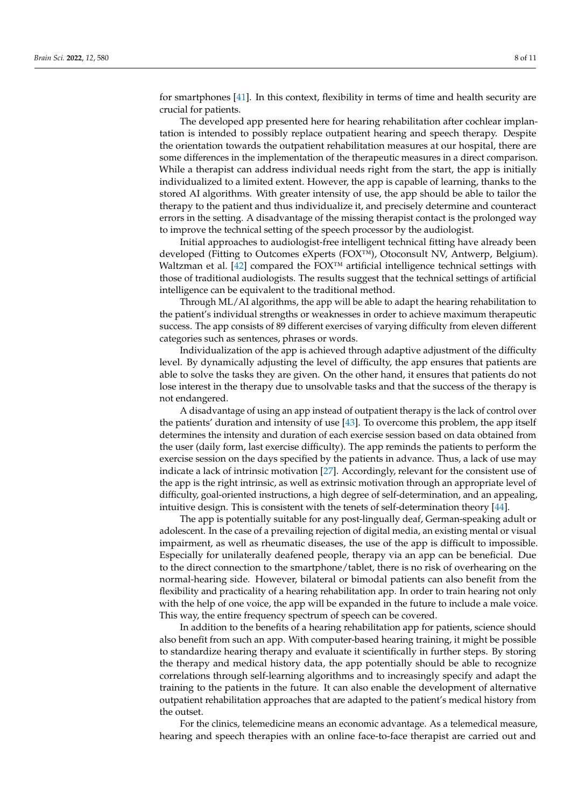for smartphones [\[41\]](#page-9-27). In this context, flexibility in terms of time and health security are crucial for patients.

The developed app presented here for hearing rehabilitation after cochlear implantation is intended to possibly replace outpatient hearing and speech therapy. Despite the orientation towards the outpatient rehabilitation measures at our hospital, there are some differences in the implementation of the therapeutic measures in a direct comparison. While a therapist can address individual needs right from the start, the app is initially individualized to a limited extent. However, the app is capable of learning, thanks to the stored AI algorithms. With greater intensity of use, the app should be able to tailor the therapy to the patient and thus individualize it, and precisely determine and counteract errors in the setting. A disadvantage of the missing therapist contact is the prolonged way to improve the technical setting of the speech processor by the audiologist.

Initial approaches to audiologist-free intelligent technical fitting have already been developed (Fitting to Outcomes eXperts (FOX™), Otoconsult NV, Antwerp, Belgium). Waltzman et al.  $[42]$  compared the FOX<sup>™</sup> artificial intelligence technical settings with those of traditional audiologists. The results suggest that the technical settings of artificial intelligence can be equivalent to the traditional method.

Through ML/AI algorithms, the app will be able to adapt the hearing rehabilitation to the patient's individual strengths or weaknesses in order to achieve maximum therapeutic success. The app consists of 89 different exercises of varying difficulty from eleven different categories such as sentences, phrases or words.

Individualization of the app is achieved through adaptive adjustment of the difficulty level. By dynamically adjusting the level of difficulty, the app ensures that patients are able to solve the tasks they are given. On the other hand, it ensures that patients do not lose interest in the therapy due to unsolvable tasks and that the success of the therapy is not endangered.

A disadvantage of using an app instead of outpatient therapy is the lack of control over the patients' duration and intensity of use [\[43\]](#page-10-0). To overcome this problem, the app itself determines the intensity and duration of each exercise session based on data obtained from the user (daily form, last exercise difficulty). The app reminds the patients to perform the exercise session on the days specified by the patients in advance. Thus, a lack of use may indicate a lack of intrinsic motivation [\[27\]](#page-9-13). Accordingly, relevant for the consistent use of the app is the right intrinsic, as well as extrinsic motivation through an appropriate level of difficulty, goal-oriented instructions, a high degree of self-determination, and an appealing, intuitive design. This is consistent with the tenets of self-determination theory [\[44\]](#page-10-1).

The app is potentially suitable for any post-lingually deaf, German-speaking adult or adolescent. In the case of a prevailing rejection of digital media, an existing mental or visual impairment, as well as rheumatic diseases, the use of the app is difficult to impossible. Especially for unilaterally deafened people, therapy via an app can be beneficial. Due to the direct connection to the smartphone/tablet, there is no risk of overhearing on the normal-hearing side. However, bilateral or bimodal patients can also benefit from the flexibility and practicality of a hearing rehabilitation app. In order to train hearing not only with the help of one voice, the app will be expanded in the future to include a male voice. This way, the entire frequency spectrum of speech can be covered.

In addition to the benefits of a hearing rehabilitation app for patients, science should also benefit from such an app. With computer-based hearing training, it might be possible to standardize hearing therapy and evaluate it scientifically in further steps. By storing the therapy and medical history data, the app potentially should be able to recognize correlations through self-learning algorithms and to increasingly specify and adapt the training to the patients in the future. It can also enable the development of alternative outpatient rehabilitation approaches that are adapted to the patient's medical history from the outset.

For the clinics, telemedicine means an economic advantage. As a telemedical measure, hearing and speech therapies with an online face-to-face therapist are carried out and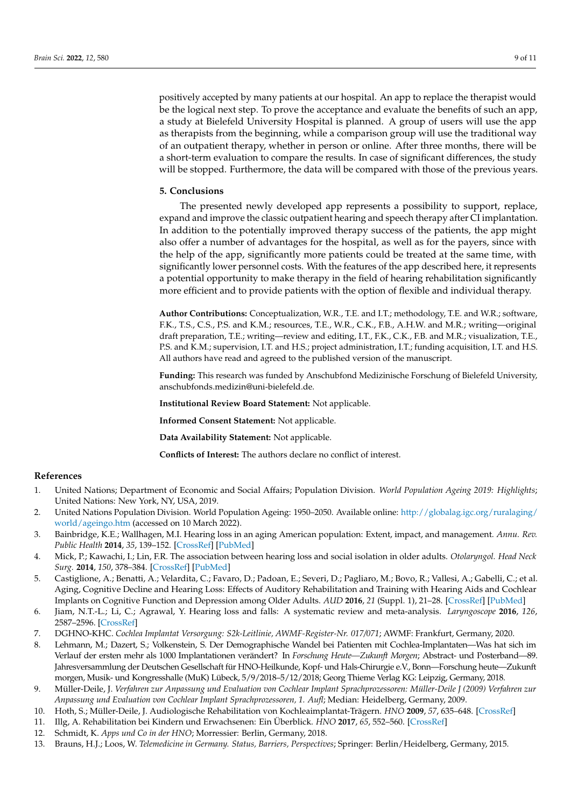positively accepted by many patients at our hospital. An app to replace the therapist would be the logical next step. To prove the acceptance and evaluate the benefits of such an app, a study at Bielefeld University Hospital is planned. A group of users will use the app as therapists from the beginning, while a comparison group will use the traditional way of an outpatient therapy, whether in person or online. After three months, there will be a short-term evaluation to compare the results. In case of significant differences, the study will be stopped. Furthermore, the data will be compared with those of the previous years.

#### **5. Conclusions**

The presented newly developed app represents a possibility to support, replace, expand and improve the classic outpatient hearing and speech therapy after CI implantation. In addition to the potentially improved therapy success of the patients, the app might also offer a number of advantages for the hospital, as well as for the payers, since with the help of the app, significantly more patients could be treated at the same time, with significantly lower personnel costs. With the features of the app described here, it represents a potential opportunity to make therapy in the field of hearing rehabilitation significantly more efficient and to provide patients with the option of flexible and individual therapy.

**Author Contributions:** Conceptualization, W.R., T.E. and I.T.; methodology, T.E. and W.R.; software, F.K., T.S., C.S., P.S. and K.M.; resources, T.E., W.R., C.K., F.B., A.H.W. and M.R.; writing—original draft preparation, T.E.; writing—review and editing, I.T., F.K., C.K., F.B. and M.R.; visualization, T.E., P.S. and K.M.; supervision, I.T. and H.S.; project administration, I.T.; funding acquisition, I.T. and H.S. All authors have read and agreed to the published version of the manuscript.

**Funding:** This research was funded by Anschubfond Medizinische Forschung of Bielefeld University, anschubfonds.medizin@uni-bielefeld.de.

**Institutional Review Board Statement:** Not applicable.

**Informed Consent Statement:** Not applicable.

**Data Availability Statement:** Not applicable.

**Conflicts of Interest:** The authors declare no conflict of interest.

## **References**

- <span id="page-8-0"></span>1. United Nations; Department of Economic and Social Affairs; Population Division. *World Population Ageing 2019: Highlights*; United Nations: New York, NY, USA, 2019.
- <span id="page-8-1"></span>2. United Nations Population Division. World Population Ageing: 1950–2050. Available online: [http://globalag.igc.org/ruralaging/](http://globalag.igc.org/ruralaging/world/ageingo.htm) [world/ageingo.htm](http://globalag.igc.org/ruralaging/world/ageingo.htm) (accessed on 10 March 2022).
- <span id="page-8-2"></span>3. Bainbridge, K.E.; Wallhagen, M.I. Hearing loss in an aging American population: Extent, impact, and management. *Annu. Rev. Public Health* **2014**, *35*, 139–152. [\[CrossRef\]](http://doi.org/10.1146/annurev-publhealth-032013-182510) [\[PubMed\]](http://www.ncbi.nlm.nih.gov/pubmed/24641557)
- <span id="page-8-3"></span>4. Mick, P.; Kawachi, I.; Lin, F.R. The association between hearing loss and social isolation in older adults. *Otolaryngol. Head Neck Surg.* **2014**, *150*, 378–384. [\[CrossRef\]](http://doi.org/10.1177/0194599813518021) [\[PubMed\]](http://www.ncbi.nlm.nih.gov/pubmed/24384545)
- <span id="page-8-4"></span>5. Castiglione, A.; Benatti, A.; Velardita, C.; Favaro, D.; Padoan, E.; Severi, D.; Pagliaro, M.; Bovo, R.; Vallesi, A.; Gabelli, C.; et al. Aging, Cognitive Decline and Hearing Loss: Effects of Auditory Rehabilitation and Training with Hearing Aids and Cochlear Implants on Cognitive Function and Depression among Older Adults. *AUD* **2016**, *21* (Suppl. 1), 21–28. [\[CrossRef\]](http://doi.org/10.1159/000448350) [\[PubMed\]](http://www.ncbi.nlm.nih.gov/pubmed/27806352)
- <span id="page-8-5"></span>6. Jiam, N.T.-L.; Li, C.; Agrawal, Y. Hearing loss and falls: A systematic review and meta-analysis. *Laryngoscope* **2016**, *126*, 2587–2596. [\[CrossRef\]](http://doi.org/10.1002/lary.25927)
- <span id="page-8-6"></span>7. DGHNO-KHC. *Cochlea Implantat Versorgung: S2k-Leitlinie, AWMF-Register-Nr. 017/071*; AWMF: Frankfurt, Germany, 2020.
- <span id="page-8-7"></span>8. Lehmann, M.; Dazert, S.; Volkenstein, S. Der Demographische Wandel bei Patienten mit Cochlea-Implantaten—Was hat sich im Verlauf der ersten mehr als 1000 Implantationen verändert? In *Forschung Heute—Zukunft Morgen*; Abstract- und Posterband—89. Jahresversammlung der Deutschen Gesellschaft für HNO-Heilkunde, Kopf- und Hals-Chirurgie e.V., Bonn—Forschung heute—Zukunft morgen, Musik- und Kongresshalle (MuK) Lübeck, 5/9/2018–5/12/2018; Georg Thieme Verlag KG: Leipzig, Germany, 2018.
- <span id="page-8-8"></span>9. Müller-Deile, J. *Verfahren zur Anpassung und Evaluation von Cochlear Implant Sprachprozessoren: Müller-Deile J (2009) Verfahren zur Anpassung und Evaluation von Cochlear Implant Sprachprozessoren, 1. Aufl*; Median: Heidelberg, Germany, 2009.
- <span id="page-8-9"></span>10. Hoth, S.; Müller-Deile, J. Audiologische Rehabilitation von Kochleaimplantat-Trägern. *HNO* **2009**, *57*, 635–648. [\[CrossRef\]](http://doi.org/10.1007/s00106-009-1924-1)
- <span id="page-8-10"></span>11. Illg, A. Rehabilitation bei Kindern und Erwachsenen: Ein Überblick. *HNO* **2017**, *65*, 552–560. [\[CrossRef\]](http://doi.org/10.1007/s00106-016-0311-y)
- <span id="page-8-11"></span>12. Schmidt, K. *Apps und Co in der HNO*; Morressier: Berlin, Germany, 2018.
- <span id="page-8-12"></span>13. Brauns, H.J.; Loos, W. *Telemedicine in Germany. Status, Barriers, Perspectives*; Springer: Berlin/Heidelberg, Germany, 2015.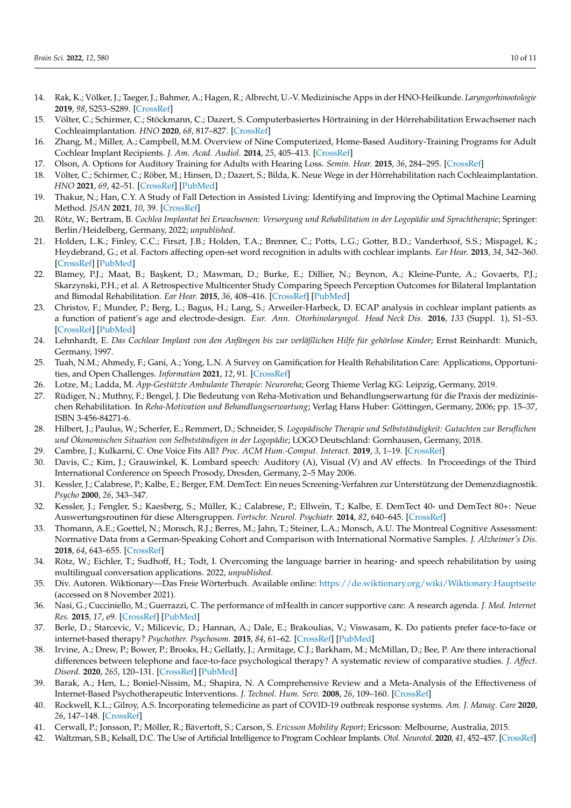- <span id="page-9-0"></span>14. Rak, K.; Völker, J.; Taeger, J.; Bahmer, A.; Hagen, R.; Albrecht, U.-V. Medizinische Apps in der HNO-Heilkunde. *Laryngorhinootologie* **2019**, *98*, S253–S289. [\[CrossRef\]](http://doi.org/10.1055/a-0740-4866)
- <span id="page-9-1"></span>15. Völter, C.; Schirmer, C.; Stöckmann, C.; Dazert, S. Computerbasiertes Hörtraining in der Hörrehabilitation Erwachsener nach Cochleaimplantation. *HNO* **2020**, *68*, 817–827. [\[CrossRef\]](http://doi.org/10.1007/s00106-020-00898-x)
- <span id="page-9-2"></span>16. Zhang, M.; Miller, A.; Campbell, M.M. Overview of Nine Computerized, Home-Based Auditory-Training Programs for Adult Cochlear Implant Recipients. *J. Am. Acad. Audiol.* **2014**, *25*, 405–413. [\[CrossRef\]](http://doi.org/10.3766/jaaa.25.4.11)
- <span id="page-9-3"></span>17. Olson, A. Options for Auditory Training for Adults with Hearing Loss. *Semin. Hear.* **2015**, *36*, 284–295. [\[CrossRef\]](http://doi.org/10.1055/s-0035-1564461)
- <span id="page-9-4"></span>18. Völter, C.; Schirmer, C.; Röber, M.; Hinsen, D.; Dazert, S.; Bilda, K. Neue Wege in der Hörrehabilitation nach Cochleaimplantation. *HNO* **2021**, *69*, 42–51. [\[CrossRef\]](http://doi.org/10.1007/s00106-020-00914-0) [\[PubMed\]](http://www.ncbi.nlm.nih.gov/pubmed/32856120)
- <span id="page-9-5"></span>19. Thakur, N.; Han, C.Y. A Study of Fall Detection in Assisted Living: Identifying and Improving the Optimal Machine Learning Method. *JSAN* **2021**, *10*, 39. [\[CrossRef\]](http://doi.org/10.3390/jsan10030039)
- <span id="page-9-6"></span>20. Rötz, W.; Bertram, B. *Cochlea Implantat bei Erwachsenen: Versorgung und Rehabilitation in der Logopädie und Sprachtherapie*; Springer: Berlin/Heidelberg, Germany, 2022; *unpublished*.
- <span id="page-9-7"></span>21. Holden, L.K.; Finley, C.C.; Firszt, J.B.; Holden, T.A.; Brenner, C.; Potts, L.G.; Gotter, B.D.; Vanderhoof, S.S.; Mispagel, K.; Heydebrand, G.; et al. Factors affecting open-set word recognition in adults with cochlear implants. *Ear Hear.* **2013**, *34*, 342–360. [\[CrossRef\]](http://doi.org/10.1097/AUD.0b013e3182741aa7) [\[PubMed\]](http://www.ncbi.nlm.nih.gov/pubmed/23348845)
- <span id="page-9-8"></span>22. Blamey, P.J.; Maat, B.; Başkent, D.; Mawman, D.; Burke, E.; Dillier, N.; Beynon, A.; Kleine-Punte, A.; Govaerts, P.J.; Skarzynski, P.H.; et al. A Retrospective Multicenter Study Comparing Speech Perception Outcomes for Bilateral Implantation and Bimodal Rehabilitation. *Ear Hear.* **2015**, *36*, 408–416. [\[CrossRef\]](http://doi.org/10.1097/AUD.0000000000000150) [\[PubMed\]](http://www.ncbi.nlm.nih.gov/pubmed/25695925)
- <span id="page-9-9"></span>23. Christov, F.; Munder, P.; Berg, L.; Bagus, H.; Lang, S.; Arweiler-Harbeck, D. ECAP analysis in cochlear implant patients as a function of patient's age and electrode-design. *Eur. Ann. Otorhinolaryngol. Head Neck Dis.* **2016**, *133* (Suppl. 1), S1–S3. [\[CrossRef\]](http://doi.org/10.1016/j.anorl.2016.04.015) [\[PubMed\]](http://www.ncbi.nlm.nih.gov/pubmed/27262349)
- <span id="page-9-10"></span>24. Lehnhardt, E. *Das Cochlear Implant von den Anfängen bis zur verläßlichen Hilfe für gehörlose Kinder*; Ernst Reinhardt: Munich, Germany, 1997.
- <span id="page-9-11"></span>25. Tuah, N.M.; Ahmedy, F.; Gani, A.; Yong, L.N. A Survey on Gamification for Health Rehabilitation Care: Applications, Opportunities, and Open Challenges. *Information* **2021**, *12*, 91. [\[CrossRef\]](http://doi.org/10.3390/info12020091)
- <span id="page-9-12"></span>26. Lotze, M.; Ladda, M. *App-Gestützte Ambulante Therapie: Neuroreha*; Georg Thieme Verlag KG: Leipzig, Germany, 2019.
- <span id="page-9-13"></span>27. Rüdiger, N.; Muthny, F.; Bengel, J. Die Bedeutung von Reha-Motivation und Behandlungserwartung für die Praxis der medizinischen Rehabilitation. In *Reha-Motivation und Behandlungserwartung*; Verlag Hans Huber: Göttingen, Germany, 2006; pp. 15–37, ISBN 3-456-84271-6.
- <span id="page-9-14"></span>28. Hilbert, J.; Paulus, W.; Scherfer, E.; Remmert, D.; Schneider, S. *Logopädische Therapie und Selbstständigkeit: Gutachten zur Beruflichen und Ökonomischen Situation von Selbstständigen in der Logopädie*; LOGO Deutschland: Gornhausen, Germany, 2018.
- <span id="page-9-15"></span>29. Cambre, J.; Kulkarni, C. One Voice Fits All? *Proc. ACM Hum.-Comput. Interact.* **2019**, *3*, 1–19. [\[CrossRef\]](http://doi.org/10.1145/3359325)
- <span id="page-9-16"></span>30. Davis, C.; Kim, J.; Grauwinkel, K. Lombard speech: Auditory (A), Visual (V) and AV effects. In Proceedings of the Third International Conference on Speech Prosody, Dresden, Germany, 2–5 May 2006.
- <span id="page-9-17"></span>31. Kessler, J.; Calabrese, P.; Kalbe, E.; Berger, F.M. DemTect: Ein neues Screening-Verfahren zur Unterstützung der Demenzdiagnostik. *Psycho* **2000**, *26*, 343–347.
- <span id="page-9-18"></span>32. Kessler, J.; Fengler, S.; Kaesberg, S.; Müller, K.; Calabrese, P.; Ellwein, T.; Kalbe, E. DemTect 40- und DemTect 80+: Neue Auswertungsroutinen für diese Altersgruppen. *Fortschr. Neurol. Psychiatr.* **2014**, *82*, 640–645. [\[CrossRef\]](http://doi.org/10.1055/s-0034-1385278)
- <span id="page-9-19"></span>33. Thomann, A.E.; Goettel, N.; Monsch, R.J.; Berres, M.; Jahn, T.; Steiner, L.A.; Monsch, A.U. The Montreal Cognitive Assessment: Normative Data from a German-Speaking Cohort and Comparison with International Normative Samples. *J. Alzheimer's Dis.* **2018**, *64*, 643–655. [\[CrossRef\]](http://doi.org/10.3233/JAD-180080)
- <span id="page-9-20"></span>34. Rötz, W.; Eichler, T.; Sudhoff, H.; Todt, I. Overcoming the language barrier in hearing- and speech rehabilitation by using multilingual conversation applications. 2022, *unpublished*.
- <span id="page-9-21"></span>35. Div. Autoren. Wiktionary—Das Freie Wörterbuch. Available online: <https://de.wiktionary.org/wiki/Wiktionary:Hauptseite> (accessed on 8 November 2021).
- <span id="page-9-22"></span>36. Nasi, G.; Cucciniello, M.; Guerrazzi, C. The performance of mHealth in cancer supportive care: A research agenda. *J. Med. Internet Res.* **2015**, *17*, e9. [\[CrossRef\]](http://doi.org/10.2196/jmir.3764) [\[PubMed\]](http://www.ncbi.nlm.nih.gov/pubmed/25720295)
- <span id="page-9-23"></span>37. Berle, D.; Starcevic, V.; Milicevic, D.; Hannan, A.; Dale, E.; Brakoulias, V.; Viswasam, K. Do patients prefer face-to-face or internet-based therapy? *Psychother. Psychosom.* **2015**, *84*, 61–62. [\[CrossRef\]](http://doi.org/10.1159/000367944) [\[PubMed\]](http://www.ncbi.nlm.nih.gov/pubmed/25547039)
- <span id="page-9-24"></span>38. Irvine, A.; Drew, P.; Bower, P.; Brooks, H.; Gellatly, J.; Armitage, C.J.; Barkham, M.; McMillan, D.; Bee, P. Are there interactional differences between telephone and face-to-face psychological therapy? A systematic review of comparative studies. *J. Affect. Disord.* **2020**, *265*, 120–131. [\[CrossRef\]](http://doi.org/10.1016/j.jad.2020.01.057) [\[PubMed\]](http://www.ncbi.nlm.nih.gov/pubmed/32090733)
- <span id="page-9-25"></span>39. Barak, A.; Hen, L.; Boniel-Nissim, M.; Shapira, N. A Comprehensive Review and a Meta-Analysis of the Effectiveness of Internet-Based Psychotherapeutic Interventions. *J. Technol. Hum. Serv.* **2008**, *26*, 109–160. [\[CrossRef\]](http://doi.org/10.1080/15228830802094429)
- <span id="page-9-26"></span>40. Rockwell, K.L.; Gilroy, A.S. Incorporating telemedicine as part of COVID-19 outbreak response systems. *Am. J. Manag. Care* **2020**, *26*, 147–148. [\[CrossRef\]](http://doi.org/10.37765/ajmc.2020.42784)
- <span id="page-9-27"></span>41. Cerwall, P.; Jonsson, P.; Möller, R.; Bävertoft, S.; Carson, S. *Ericsson Mobility Report*; Ericsson: Melbourne, Australia, 2015.
- <span id="page-9-28"></span>42. Waltzman, S.B.; Kelsall, D.C. The Use of Artificial Intelligence to Program Cochlear Implants. *Otol. Neurotol.* **2020**, *41*, 452–457. [\[CrossRef\]](http://doi.org/10.1097/MAO.0000000000002566)